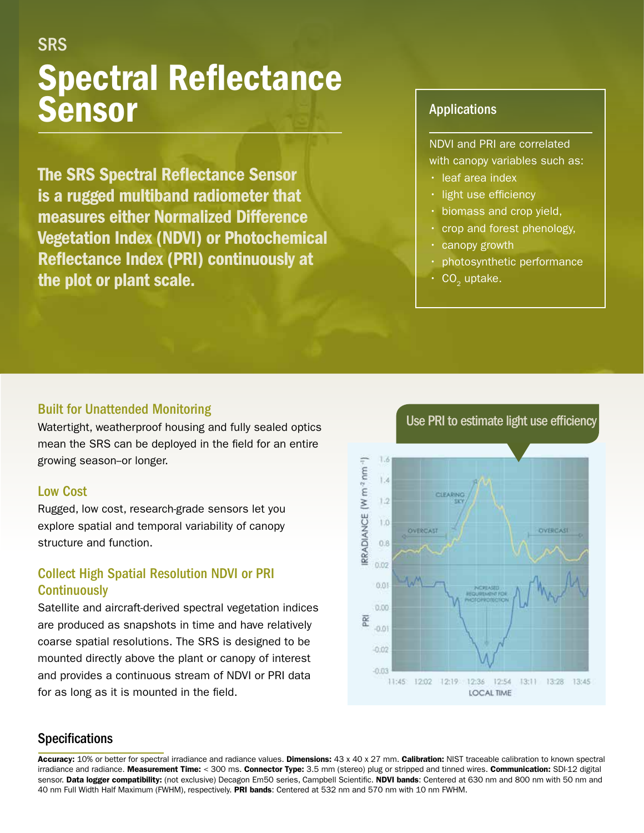# Spectral Reflectance Sensor SRS

The SRS Spectral Reflectance Sensor is a rugged multiband radiometer that measures either Normalized Difference Vegetation Index (NDVI) or Photochemical Reflectance Index (PRI) continuously at the plot or plant scale.

## Applications

NDVI and PRI are correlated with canopy variables such as:

- leaf area index
- light use efficiency
- biomass and crop yield,
- crop and forest phenology,
- canopy growth
- photosynthetic performance
- CO<sub>2</sub> uptake.

#### Built for Unattended Monitoring

Watertight, weatherproof housing and fully sealed optics mean the SRS can be deployed in the field for an entire growing season-or longer.

#### Low Cost

Rugged, low cost, research-grade sensors let you explore spatial and temporal variability of canopy structure and function.

# Collect High Spatial Resolution NDVI or PRI **Continuously**

Satellite and aircraft-derived spectral vegetation indices are produced as snapshots in time and have relatively coarse spatial resolutions. The SRS is designed to be mounted directly above the plant or canopy of interest and provides a continuous stream of NDVI or PRI data for as long as it is mounted in the field.

1.6 RRADIANCE (W m<sup>-2</sup> nm<sup>-1</sup>) 13  $1.2$  $1.0$  $0.8$ 0.02 0.01 0.00





### **Specifications**

Accuracy: 10% or better for spectral irradiance and radiance values. Dimensions: 43 x 40 x 27 mm. Calibration: NIST traceable calibration to known spectral irradiance and radiance. Measurement Time: < 300 ms. Connector Type: 3.5 mm (stereo) plug or stripped and tinned wires. Communication: SDI-12 digital sensor. Data logger compatibility: (not exclusive) Decagon Em50 series, Campbell Scientific. NDVI bands: Centered at 630 nm and 800 nm with 50 nm and 40 nm Full Width Half Maximum (FWHM), respectively. PRI bands: Centered at 532 nm and 570 nm with 10 nm FWHM.